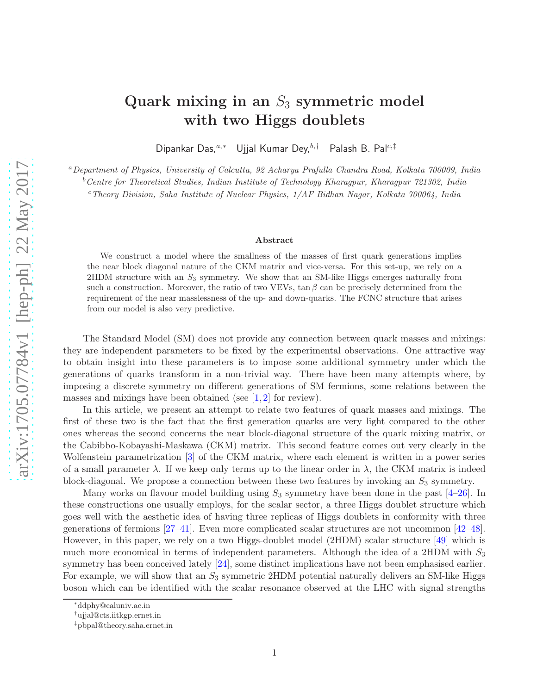# Quark mixing in an  $S_3$  symmetric model with two Higgs doublets

Dipankar Das,<sup>a,\*</sup> Ujjal Kumar Dey,<sup>b,†</sup> Palash B. Pal<sup>c,‡</sup>

<sup>a</sup>*Department of Physics, University of Calcutta, 92 Acharya Prafulla Chandra Road, Kolkata 700009, India* <sup>b</sup>*Centre for Theoretical Studies, Indian Institute of Technology Kharagpur, Kharagpur 721302, India*

<sup>c</sup>*Theory Division, Saha Institute of Nuclear Physics, 1/AF Bidhan Nagar, Kolkata 700064, India*

#### Abstract

We construct a model where the smallness of the masses of first quark generations implies the near block diagonal nature of the CKM matrix and vice-versa. For this set-up, we rely on a  $2HDM$  structure with an  $S_3$  symmetry. We show that an SM-like Higgs emerges naturally from such a construction. Moreover, the ratio of two VEVs,  $\tan \beta$  can be precisely determined from the requirement of the near masslessness of the up- and down-quarks. The FCNC structure that arises from our model is also very predictive.

The Standard Model (SM) does not provide any connection between quark masses and mixings: they are independent parameters to be fixed by the experimental observations. One attractive way to obtain insight into these parameters is to impose some additional symmetry under which the generations of quarks transform in a non-trivial way. There have been many attempts where, by imposing a discrete symmetry on different generations of SM fermions, some relations between the masses and mixings have been obtained (see  $[1,2]$  $[1,2]$  for review).

In this article, we present an attempt to relate two features of quark masses and mixings. The first of these two is the fact that the first generation quarks are very light compared to the other ones whereas the second concerns the near block-diagonal structure of the quark mixing matrix, or the Cabibbo-Kobayashi-Maskawa (CKM) matrix. This second feature comes out very clearly in the Wolfenstein parametrization [\[3\]](#page-8-2) of the CKM matrix, where each element is written in a power series of a small parameter  $\lambda$ . If we keep only terms up to the linear order in  $\lambda$ , the CKM matrix is indeed block-diagonal. We propose a connection between these two features by invoking an  $S_3$  symmetry.

Many works on flavour model building using  $S_3$  symmetry have been done in the past  $[4-26]$  $[4-26]$ . In these constructions one usually employs, for the scalar sector, a three Higgs doublet structure which goes well with the aesthetic idea of having three replicas of Higgs doublets in conformity with three generations of fermions [\[27](#page-10-1)[–41\]](#page-10-2). Even more complicated scalar structures are not uncommon [\[42](#page-10-3)[–48\]](#page-11-0). However, in this paper, we rely on a two Higgs-doublet model (2HDM) scalar structure [\[49\]](#page-11-1) which is much more economical in terms of independent parameters. Although the idea of a 2HDM with  $S_3$ symmetry has been conceived lately [\[24\]](#page-9-0), some distinct implications have not been emphasised earlier. For example, we will show that an  $S_3$  symmetric 2HDM potential naturally delivers an SM-like Higgs boson which can be identified with the scalar resonance observed at the LHC with signal strengths

<sup>∗</sup> ddphy@caluniv.ac.in

<sup>†</sup>ujjal@cts.iitkgp.ernet.in

<sup>‡</sup> pbpal@theory.saha.ernet.in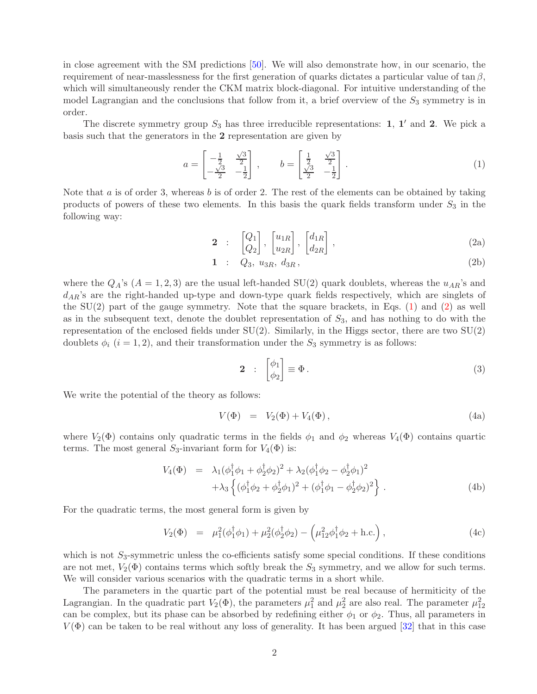in close agreement with the SM predictions [\[50\]](#page-11-2). We will also demonstrate how, in our scenario, the requirement of near-masslessness for the first generation of quarks dictates a particular value of tan  $\beta$ , which will simultaneously render the CKM matrix block-diagonal. For intuitive understanding of the model Lagrangian and the conclusions that follow from it, a brief overview of the  $S_3$  symmetry is in order.

The discrete symmetry group  $S_3$  has three irreducible representations: 1, 1' and 2. We pick a basis such that the generators in the 2 representation are given by

<span id="page-1-0"></span>
$$
a = \begin{bmatrix} -\frac{1}{2} & \frac{\sqrt{3}}{2} \\ -\frac{\sqrt{3}}{2} & -\frac{1}{2} \end{bmatrix}, \qquad b = \begin{bmatrix} \frac{1}{2} & \frac{\sqrt{3}}{2} \\ \frac{\sqrt{3}}{2} & -\frac{1}{2} \end{bmatrix}.
$$
 (1)

<span id="page-1-1"></span>Note that  $a$  is of order 3, whereas  $b$  is of order 2. The rest of the elements can be obtained by taking products of powers of these two elements. In this basis the quark fields transform under  $S_3$  in the following way:

$$
\mathbf{2} \quad : \quad \begin{bmatrix} Q_1 \\ Q_2 \end{bmatrix}, \quad \begin{bmatrix} u_{1R} \\ u_{2R} \end{bmatrix}, \quad \begin{bmatrix} d_{1R} \\ d_{2R} \end{bmatrix}, \tag{2a}
$$

$$
1: Q_3, u_{3R}, d_{3R}, \t\t(2b)
$$

where the  $Q_A$ 's  $(A = 1, 2, 3)$  are the usual left-handed SU(2) quark doublets, whereas the  $u_{AR}$ 's and  $d_{AR}$ 's are the right-handed up-type and down-type quark fields respectively, which are singlets of the  $SU(2)$  part of the gauge symmetry. Note that the square brackets, in Eqs.  $(1)$  and  $(2)$  as well as in the subsequent text, denote the doublet representation of  $S_3$ , and has nothing to do with the representation of the enclosed fields under  $SU(2)$ . Similarly, in the Higgs sector, there are two  $SU(2)$ doublets  $\phi_i$  (i = 1, 2), and their transformation under the  $S_3$  symmetry is as follows:

$$
\mathbf{2} : \begin{bmatrix} \phi_1 \\ \phi_2 \end{bmatrix} \equiv \Phi \,. \tag{3}
$$

We write the potential of the theory as follows:

$$
V(\Phi) = V_2(\Phi) + V_4(\Phi), \qquad (4a)
$$

where  $V_2(\Phi)$  contains only quadratic terms in the fields  $\phi_1$  and  $\phi_2$  whereas  $V_4(\Phi)$  contains quartic terms. The most general  $S_3$ -invariant form for  $V_4(\Phi)$  is:

$$
V_4(\Phi) = \lambda_1(\phi_1^{\dagger}\phi_1 + \phi_2^{\dagger}\phi_2)^2 + \lambda_2(\phi_1^{\dagger}\phi_2 - \phi_2^{\dagger}\phi_1)^2 + \lambda_3 \left\{ (\phi_1^{\dagger}\phi_2 + \phi_2^{\dagger}\phi_1)^2 + (\phi_1^{\dagger}\phi_1 - \phi_2^{\dagger}\phi_2)^2 \right\}.
$$
 (4b)

For the quadratic terms, the most general form is given by

<span id="page-1-2"></span>
$$
V_2(\Phi) = \mu_1^2(\phi_1^{\dagger}\phi_1) + \mu_2^2(\phi_2^{\dagger}\phi_2) - (\mu_{12}^2\phi_1^{\dagger}\phi_2 + \text{h.c.}), \qquad (4c)
$$

which is not  $S_3$ -symmetric unless the co-efficients satisfy some special conditions. If these conditions are not met,  $V_2(\Phi)$  contains terms which softly break the  $S_3$  symmetry, and we allow for such terms. We will consider various scenarios with the quadratic terms in a short while.

The parameters in the quartic part of the potential must be real because of hermiticity of the Lagrangian. In the quadratic part  $V_2(\Phi)$ , the parameters  $\mu_1^2$  and  $\mu_2^2$  are also real. The parameter  $\mu_{12}^2$ can be complex, but its phase can be absorbed by redefining either  $\phi_1$  or  $\phi_2$ . Thus, all parameters in  $V(\Phi)$  can be taken to be real without any loss of generality. It has been argued [\[32\]](#page-10-4) that in this case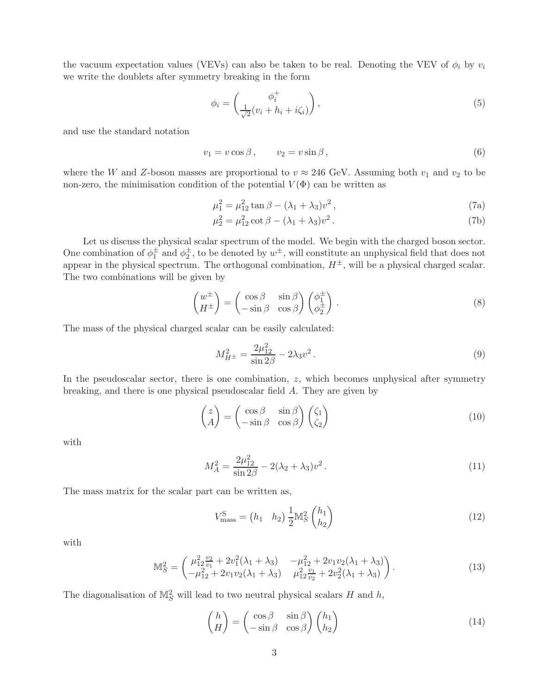the vacuum expectation values (VEVs) can also be taken to be real. Denoting the VEV of  $\phi_i$  by  $v_i$ we write the doublets after symmetry breaking in the form

$$
\phi_i = \begin{pmatrix} \phi_i^+ \\ \frac{1}{\sqrt{2}} (v_i + h_i + i\zeta_i) \end{pmatrix},\tag{5}
$$

and use the standard notation

$$
v_1 = v \cos \beta, \qquad v_2 = v \sin \beta, \tag{6}
$$

where the W and Z-boson masses are proportional to  $v \approx 246$  GeV. Assuming both  $v_1$  and  $v_2$  to be non-zero, the minimisation condition of the potential  $V(\Phi)$  can be written as

<span id="page-2-1"></span>
$$
\mu_1^2 = \mu_{12}^2 \tan \beta - (\lambda_1 + \lambda_3)v^2,
$$
\n(7a)

$$
\mu_2^2 = \mu_{12}^2 \cot \beta - (\lambda_1 + \lambda_3)v^2.
$$
 (7b)

Let us discuss the physical scalar spectrum of the model. We begin with the charged boson sector. One combination of  $\phi_1^{\pm}$  and  $\phi_2^{\pm}$ , to be denoted by  $w^{\pm}$ , will constitute an unphysical field that does not appear in the physical spectrum. The orthogonal combination,  $H^{\pm}$ , will be a physical charged scalar. The two combinations will be given by

$$
\begin{pmatrix} w^{\pm} \\ H^{\pm} \end{pmatrix} = \begin{pmatrix} \cos \beta & \sin \beta \\ -\sin \beta & \cos \beta \end{pmatrix} \begin{pmatrix} \phi_1^{\pm} \\ \phi_2^{\pm} \end{pmatrix} . \tag{8}
$$

The mass of the physical charged scalar can be easily calculated:

$$
M_{H^{\pm}}^2 = \frac{2\mu_{12}^2}{\sin 2\beta} - 2\lambda_3 v^2. \tag{9}
$$

In the pseudoscalar sector, there is one combination,  $z$ , which becomes unphysical after symmetry breaking, and there is one physical pseudoscalar field A. They are given by

$$
\begin{pmatrix} z \\ A \end{pmatrix} = \begin{pmatrix} \cos \beta & \sin \beta \\ -\sin \beta & \cos \beta \end{pmatrix} \begin{pmatrix} \zeta_1 \\ \zeta_2 \end{pmatrix}
$$
\n(10)

with

$$
M_A^2 = \frac{2\mu_{12}^2}{\sin 2\beta} - 2(\lambda_2 + \lambda_3)v^2.
$$
 (11)

The mass matrix for the scalar part can be written as,

$$
V_{\text{mass}}^{\text{S}} = \begin{pmatrix} h_1 & h_2 \end{pmatrix} \frac{1}{2} \mathbb{M}_S^2 \begin{pmatrix} h_1 \\ h_2 \end{pmatrix} \tag{12}
$$

with

$$
\mathbb{M}_S^2 = \begin{pmatrix} \mu_{12}^2 \frac{v_2}{v_1} + 2v_1^2(\lambda_1 + \lambda_3) & -\mu_{12}^2 + 2v_1v_2(\lambda_1 + \lambda_3) \\ -\mu_{12}^2 + 2v_1v_2(\lambda_1 + \lambda_3) & \mu_{12}^2 \frac{v_1}{v_2} + 2v_2^2(\lambda_1 + \lambda_3) \end{pmatrix} . \tag{13}
$$

The diagonalisation of  $\mathbb{M}^2_S$  will lead to two neutral physical scalars H and h,

<span id="page-2-0"></span>
$$
\begin{pmatrix} h \\ H \end{pmatrix} = \begin{pmatrix} \cos \beta & \sin \beta \\ -\sin \beta & \cos \beta \end{pmatrix} \begin{pmatrix} h_1 \\ h_2 \end{pmatrix}
$$
\n(14)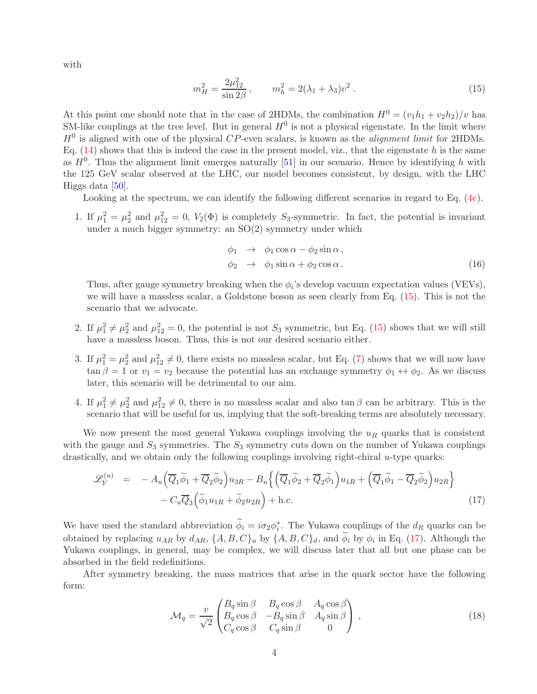with

<span id="page-3-0"></span>
$$
m_H^2 = \frac{2\mu_{12}^2}{\sin 2\beta}, \qquad m_h^2 = 2(\lambda_1 + \lambda_3)v^2.
$$
 (15)

At this point one should note that in the case of 2HDMs, the combination  $H^0 = (v_1h_1 + v_2h_2)/v$  has SM-like couplings at the tree level. But in general  $H^0$  is not a physical eigenstate. In the limit where  $H<sup>0</sup>$  is aligned with one of the physical CP-even scalars, is known as the *alignment limit* for 2HDMs. Eq.  $(14)$  shows that this is indeed the case in the present model, viz., that the eigenstate h is the same as  $H^0$ . Thus the alignment limit emerges naturally [\[51\]](#page-11-3) in our scenario. Hence by identifying h with the 125 GeV scalar observed at the LHC, our model becomes consistent, by design, with the LHC Higgs data [\[50\]](#page-11-2).

Looking at the spectrum, we can identify the following different scenarios in regard to Eq. [\(4c\)](#page-1-2).

1. If  $\mu_1^2 = \mu_2^2$  and  $\mu_{12}^2 = 0$ ,  $V_2(\Phi)$  is completely S<sub>3</sub>-symmetric. In fact, the potential is invariant under a much bigger symmetry: an SO(2) symmetry under which

$$
\begin{array}{rcl}\n\phi_1 & \to & \phi_1 \cos \alpha - \phi_2 \sin \alpha, \\
\phi_2 & \to & \phi_1 \sin \alpha + \phi_2 \cos \alpha.\n\end{array} \tag{16}
$$

Thus, after gauge symmetry breaking when the  $\phi_i$ 's develop vacuum expectation values (VEVs), we will have a massless scalar, a Goldstone boson as seen clearly from Eq. [\(15\)](#page-3-0). This is not the scenario that we advocate.

- 2. If  $\mu_1^2 \neq \mu_2^2$  and  $\mu_{12}^2 = 0$ , the potential is not  $S_3$  symmetric, but Eq. [\(15\)](#page-3-0) shows that we will still have a massless boson. Thus, this is not our desired scenario either.
- 3. If  $\mu_1^2 = \mu_2^2$  and  $\mu_{12}^2 \neq 0$ , there exists no massless scalar, but Eq. [\(7\)](#page-2-1) shows that we will now have  $\tan \beta = 1$  or  $v_1 = v_2$  because the potential has an exchange symmetry  $\phi_1 \leftrightarrow \phi_2$ . As we discuss later, this scenario will be detrimental to our aim.
- 4. If  $\mu_1^2 \neq \mu_2^2$  and  $\mu_{12}^2 \neq 0$ , there is no massless scalar and also tan  $\beta$  can be arbitrary. This is the scenario that will be useful for us, implying that the soft-breaking terms are absolutely necessary.

We now present the most general Yukawa couplings involving the  $u_R$  quarks that is consistent with the gauge and  $S_3$  symmetries. The  $S_3$  symmetry cuts down on the number of Yukawa couplings drastically, and we obtain only the following couplings involving right-chiral  $u$ -type quarks:

<span id="page-3-1"></span>
$$
\mathcal{L}_Y^{(u)} = -A_u \Big( \overline{Q}_1 \widetilde{\phi}_1 + \overline{Q}_2 \widetilde{\phi}_2 \Big) u_{3R} - B_u \Big\{ \Big( \overline{Q}_1 \widetilde{\phi}_2 + \overline{Q}_2 \widetilde{\phi}_1 \Big) u_{1R} + \Big( \overline{Q}_1 \widetilde{\phi}_1 - \overline{Q}_2 \widetilde{\phi}_2 \Big) u_{2R} \Big\} - C_u \overline{Q}_3 \Big( \widetilde{\phi}_1 u_{1R} + \widetilde{\phi}_2 u_{2R} \Big) + \text{h.c.}
$$
\n(17)

We have used the standard abbreviation  $\phi_i = i\sigma_2\phi_i^*$ . The Yukawa couplings of the  $d_R$  quarks can be obtained by replacing  $u_{AR}$  by  $d_{AR}$ ,  $\{A, B, C\}_u$  by  $\{A, B, C\}_d$ , and  $\phi_i$  by  $\phi_i$  in Eq. [\(17\)](#page-3-1). Although the Yukawa couplings, in general, may be complex, we will discuss later that all but one phase can be absorbed in the field redefinitions.

After symmetry breaking, the mass matrices that arise in the quark sector have the following form:

<span id="page-3-2"></span>
$$
\mathcal{M}_q = \frac{v}{\sqrt{2}} \begin{pmatrix} B_q \sin \beta & B_q \cos \beta & A_q \cos \beta \\ B_q \cos \beta & -B_q \sin \beta & A_q \sin \beta \\ C_q \cos \beta & C_q \sin \beta & 0 \end{pmatrix},\tag{18}
$$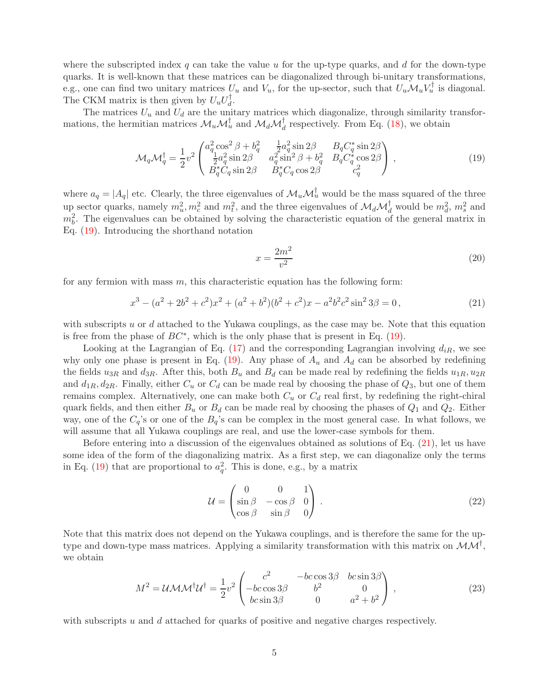where the subscripted index q can take the value u for the up-type quarks, and d for the down-type quarks. It is well-known that these matrices can be diagonalized through bi-unitary transformations, e.g., one can find two unitary matrices  $U_u$  and  $V_u$ , for the up-sector, such that  $U_u \mathcal{M}_u V_u^{\dagger}$  is diagonal. The CKM matrix is then given by  $U_u U_d^{\dagger}$ .

The matrices  $U_u$  and  $U_d$  are the unitary matrices which diagonalize, through similarity transformations, the hermitian matrices  $\mathcal{M}_u \mathcal{M}_u^{\dagger}$  and  $\mathcal{M}_d \mathcal{M}_d^{\dagger}$  respectively. From Eq. [\(18\)](#page-3-2), we obtain

<span id="page-4-0"></span>
$$
\mathcal{M}_{q}\mathcal{M}_{q}^{\dagger} = \frac{1}{2}v^{2}\begin{pmatrix} a_{q}^{2}\cos^{2}\beta + b_{q}^{2} & \frac{1}{2}a_{q}^{2}\sin 2\beta & B_{q}C_{q}^{*}\sin 2\beta\\ \frac{1}{2}a_{q}^{2}\sin 2\beta & a_{q}^{2}\sin^{2}\beta + b_{q}^{2} & B_{q}C_{q}^{*}\cos 2\beta\\ B_{q}^{*}C_{q}\sin 2\beta & B_{q}^{*}C_{q}\cos 2\beta & c_{q}^{2} \end{pmatrix},
$$
\n(19)

where  $a_q = |A_q|$  etc. Clearly, the three eigenvalues of  $\mathcal{M}_u \mathcal{M}_u^{\dagger}$  would be the mass squared of the three up sector quarks, namely  $m_u^2, m_c^2$  and  $m_t^2$ , and the three eigenvalues of  $\mathcal{M}_d \mathcal{M}_d^{\dagger}$  would be  $m_d^2, m_s^2$  and  $m_b^2$ . The eigenvalues can be obtained by solving the characteristic equation of the general matrix in Eq. [\(19\)](#page-4-0). Introducing the shorthand notation

<span id="page-4-3"></span>
$$
x = \frac{2m^2}{v^2} \tag{20}
$$

for any fermion with mass  $m$ , this characteristic equation has the following form:

<span id="page-4-1"></span>
$$
x^{3} - (a^{2} + 2b^{2} + c^{2})x^{2} + (a^{2} + b^{2})(b^{2} + c^{2})x - a^{2}b^{2}c^{2}\sin^{2}3\beta = 0,
$$
\n(21)

with subscripts u or  $d$  attached to the Yukawa couplings, as the case may be. Note that this equation is free from the phase of  $BC^*$ , which is the only phase that is present in Eq. [\(19\)](#page-4-0).

Looking at the Lagrangian of Eq. [\(17\)](#page-3-1) and the corresponding Lagrangian involving  $d_{iR}$ , we see why only one phase is present in Eq. [\(19\)](#page-4-0). Any phase of  $A_u$  and  $A_d$  can be absorbed by redefining the fields  $u_{3R}$  and  $d_{3R}$ . After this, both  $B_u$  and  $B_d$  can be made real by redefining the fields  $u_{1R}$ ,  $u_{2R}$ and  $d_{1R}, d_{2R}$ . Finally, either  $C_u$  or  $C_d$  can be made real by choosing the phase of  $Q_3$ , but one of them remains complex. Alternatively, one can make both  $C_u$  or  $C_d$  real first, by redefining the right-chiral quark fields, and then either  $B_u$  or  $B_d$  can be made real by choosing the phases of  $Q_1$  and  $Q_2$ . Either way, one of the  $C_q$ 's or one of the  $B_q$ 's can be complex in the most general case. In what follows, we will assume that all Yukawa couplings are real, and use the lower-case symbols for them.

Before entering into a discussion of the eigenvalues obtained as solutions of Eq. [\(21\)](#page-4-1), let us have some idea of the form of the diagonalizing matrix. As a first step, we can diagonalize only the terms in Eq. [\(19\)](#page-4-0) that are proportional to  $a_q^2$ . This is done, e.g., by a matrix

$$
\mathcal{U} = \begin{pmatrix} 0 & 0 & 1 \\ \sin \beta & -\cos \beta & 0 \\ \cos \beta & \sin \beta & 0 \end{pmatrix} . \tag{22}
$$

Note that this matrix does not depend on the Yukawa couplings, and is therefore the same for the uptype and down-type mass matrices. Applying a similarity transformation with this matrix on  $\mathcal{MM}^{\dagger}$ , we obtain

<span id="page-4-2"></span>
$$
M^{2} = UMM^{\dagger}U^{\dagger} = \frac{1}{2}v^{2} \begin{pmatrix} c^{2} & -bc\cos 3\beta & bc\sin 3\beta\\ -bc\cos 3\beta & b^{2} & 0\\ bc\sin 3\beta & 0 & a^{2} + b^{2} \end{pmatrix},
$$
(23)

with subscripts  $u$  and  $d$  attached for quarks of positive and negative charges respectively.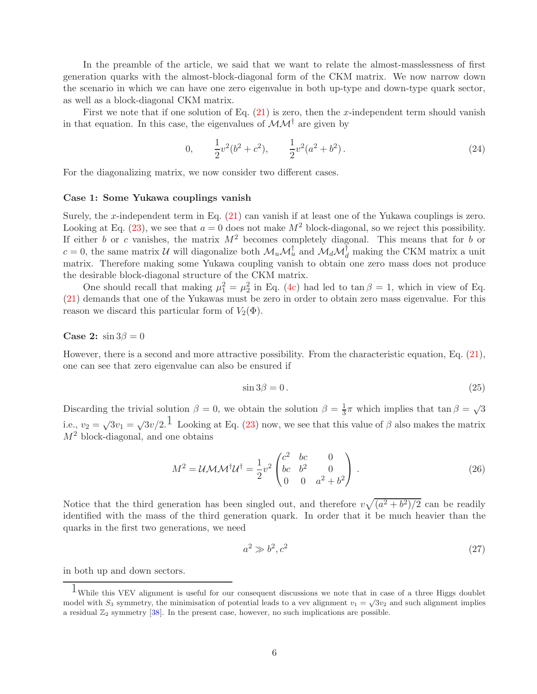In the preamble of the article, we said that we want to relate the almost-masslessness of first generation quarks with the almost-block-diagonal form of the CKM matrix. We now narrow down the scenario in which we can have one zero eigenvalue in both up-type and down-type quark sector, as well as a block-diagonal CKM matrix.

First we note that if one solution of Eq.  $(21)$  is zero, then the x-independent term should vanish in that equation. In this case, the eigenvalues of  $\mathcal{MM}^{\dagger}$  are given by

$$
0, \qquad \frac{1}{2}v^2(b^2+c^2), \qquad \frac{1}{2}v^2(a^2+b^2). \tag{24}
$$

For the diagonalizing matrix, we now consider two different cases.

### Case 1: Some Yukawa couplings vanish

Surely, the x-independent term in Eq. [\(21\)](#page-4-1) can vanish if at least one of the Yukawa couplings is zero. Looking at Eq. [\(23\)](#page-4-2), we see that  $a = 0$  does not make  $M^2$  block-diagonal, so we reject this possibility. If either b or c vanishes, the matrix  $M^2$  becomes completely diagonal. This means that for b or  $c = 0$ , the same matrix U will diagonalize both  $\mathcal{M}_u \mathcal{M}_u^{\dagger}$  and  $\mathcal{M}_d \mathcal{M}_d^{\dagger}$  making the CKM matrix a unit matrix. Therefore making some Yukawa coupling vanish to obtain one zero mass does not produce the desirable block-diagonal structure of the CKM matrix.

One should recall that making  $\mu_1^2 = \mu_2^2$  in Eq. [\(4c\)](#page-1-2) had led to tan  $\beta = 1$ , which in view of Eq. [\(21\)](#page-4-1) demands that one of the Yukawas must be zero in order to obtain zero mass eigenvalue. For this reason we discard this particular form of  $V_2(\Phi)$ .

#### Case 2:  $\sin 3\beta = 0$

However, there is a second and more attractive possibility. From the characteristic equation, Eq. [\(21\)](#page-4-1), one can see that zero eigenvalue can also be ensured if

<span id="page-5-1"></span>
$$
\sin 3\beta = 0. \tag{25}
$$

Discarding the trivial solution  $\beta = 0$ , we obtain the solution  $\beta = \frac{1}{3}\pi$  which implies that tan  $\beta = \sqrt{3}$ i.e.,  $v_2 = \sqrt{3v_1} = \sqrt{3v/2}$  $v_2 = \sqrt{3v_1} = \sqrt{3v/2}$  $v_2 = \sqrt{3v_1} = \sqrt{3v/2}$ .<sup>1</sup> Looking at Eq. [\(23\)](#page-4-2) now, we see that this value of  $\beta$  also makes the matrix  $M<sup>2</sup>$  block-diagonal, and one obtains

$$
M^{2} = UMM^{\dagger}U^{\dagger} = \frac{1}{2}v^{2} \begin{pmatrix} c^{2} & bc & 0 \\ bc & b^{2} & 0 \\ 0 & 0 & a^{2} + b^{2} \end{pmatrix} .
$$
 (26)

Notice that the third generation has been singled out, and therefore  $v\sqrt{(a^2+b^2)/2}$  can be readily identified with the mass of the third generation quark. In order that it be much heavier than the quarks in the first two generations, we need

<span id="page-5-2"></span>
$$
a^2 \gg b^2, c^2 \tag{27}
$$

in both up and down sectors.

<span id="page-5-0"></span><sup>1</sup>While this VEV alignment is useful for our consequent discussions we note that in case of a three Higgs doublet model with  $S_3$  symmetry, the minimisation of potential leads to a vev alignment  $v_1 = \sqrt{3v_2}$  and such alignment implies a residual  $\mathbb{Z}_2$  symmetry [\[38\]](#page-10-5). In the present case, however, no such implications are possible.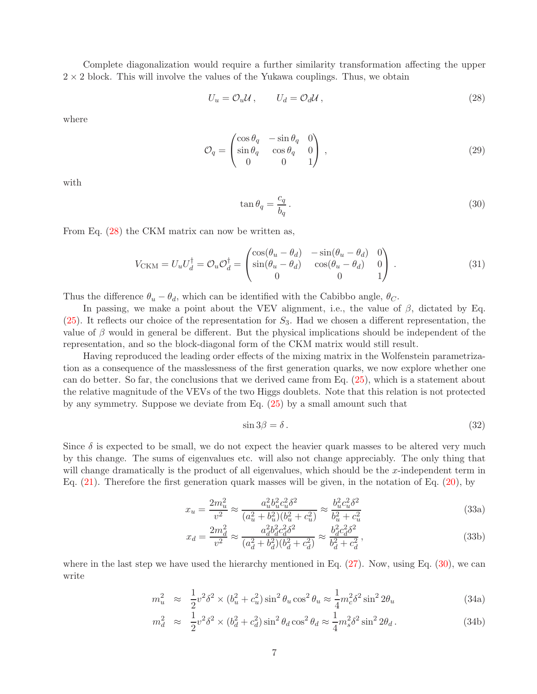Complete diagonalization would require a further similarity transformation affecting the upper  $2 \times 2$  block. This will involve the values of the Yukawa couplings. Thus, we obtain

<span id="page-6-0"></span>
$$
U_u = \mathcal{O}_u \mathcal{U}, \qquad U_d = \mathcal{O}_d \mathcal{U}, \qquad (28)
$$

where

$$
\mathcal{O}_q = \begin{pmatrix}\n\cos \theta_q & -\sin \theta_q & 0 \\
\sin \theta_q & \cos \theta_q & 0 \\
0 & 0 & 1\n\end{pmatrix},
$$
\n(29)

with

<span id="page-6-1"></span>
$$
\tan \theta_q = \frac{c_q}{b_q} \,. \tag{30}
$$

From Eq. [\(28\)](#page-6-0) the CKM matrix can now be written as,

$$
V_{\text{CKM}} = U_u U_d^{\dagger} = \mathcal{O}_u \mathcal{O}_d^{\dagger} = \begin{pmatrix} \cos(\theta_u - \theta_d) & -\sin(\theta_u - \theta_d) & 0\\ \sin(\theta_u - \theta_d) & \cos(\theta_u - \theta_d) & 0\\ 0 & 0 & 1 \end{pmatrix} . \tag{31}
$$

Thus the difference  $\theta_u - \theta_d$ , which can be identified with the Cabibbo angle,  $\theta_c$ .

In passing, we make a point about the VEV alignment, i.e., the value of  $\beta$ , dictated by Eq.  $(25)$ . It reflects our choice of the representation for  $S_3$ . Had we chosen a different representation, the value of  $\beta$  would in general be different. But the physical implications should be independent of the representation, and so the block-diagonal form of the CKM matrix would still result.

Having reproduced the leading order effects of the mixing matrix in the Wolfenstein parametrization as a consequence of the masslessness of the first generation quarks, we now explore whether one can do better. So far, the conclusions that we derived came from Eq. [\(25\)](#page-5-1), which is a statement about the relative magnitude of the VEVs of the two Higgs doublets. Note that this relation is not protected by any symmetry. Suppose we deviate from Eq. [\(25\)](#page-5-1) by a small amount such that

<span id="page-6-3"></span>
$$
\sin 3\beta = \delta \,. \tag{32}
$$

Since  $\delta$  is expected to be small, we do not expect the heavier quark masses to be altered very much by this change. The sums of eigenvalues etc. will also not change appreciably. The only thing that will change dramatically is the product of all eigenvalues, which should be the x-independent term in Eq. [\(21\)](#page-4-1). Therefore the first generation quark masses will be given, in the notation of Eq. [\(20\)](#page-4-3), by

$$
x_u = \frac{2m_u^2}{v^2} \approx \frac{a_u^2 b_u^2 c_u^2 \delta^2}{(a_u^2 + b_u^2)(b_u^2 + c_u^2)} \approx \frac{b_u^2 c_u^2 \delta^2}{b_u^2 + c_u^2}
$$
(33a)

$$
x_d = \frac{2m_d^2}{v^2} \approx \frac{a_d^2 b_d^2 c_d^2 \delta^2}{(a_d^2 + b_d^2)(b_d^2 + c_d^2)} \approx \frac{b_d^2 c_d^2 \delta^2}{b_d^2 + c_d^2},\tag{33b}
$$

where in the last step we have used the hierarchy mentioned in Eq.  $(27)$ . Now, using Eq.  $(30)$ , we can write

<span id="page-6-2"></span>
$$
m_u^2 \approx \frac{1}{2}v^2\delta^2 \times (b_u^2 + c_u^2)\sin^2\theta_u\cos^2\theta_u \approx \frac{1}{4}m_c^2\delta^2\sin^22\theta_u
$$
 (34a)

$$
m_d^2 \approx \frac{1}{2}v^2\delta^2 \times (b_d^2 + c_d^2)\sin^2\theta_d\cos^2\theta_d \approx \frac{1}{4}m_s^2\delta^2\sin^22\theta_d.
$$
 (34b)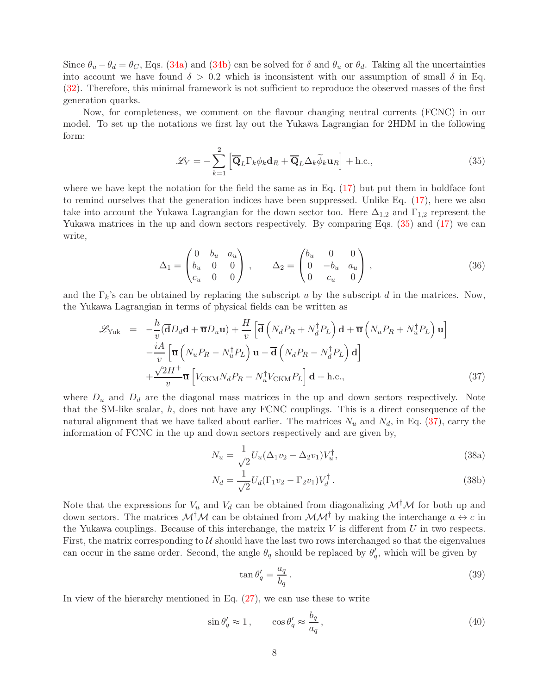Since  $\theta_u - \theta_d = \theta_c$ , Eqs. [\(34a\)](#page-6-2) and [\(34b\)](#page-6-2) can be solved for  $\delta$  and  $\theta_u$  or  $\theta_d$ . Taking all the uncertainties into account we have found  $\delta > 0.2$  which is inconsistent with our assumption of small  $\delta$  in Eq. [\(32\)](#page-6-3). Therefore, this minimal framework is not sufficient to reproduce the observed masses of the first generation quarks.

Now, for completeness, we comment on the flavour changing neutral currents (FCNC) in our model. To set up the notations we first lay out the Yukawa Lagrangian for 2HDM in the following form:

<span id="page-7-0"></span>
$$
\mathcal{L}_Y = -\sum_{k=1}^2 \left[ \overline{\mathbf{Q}}_L \Gamma_k \phi_k \mathbf{d}_R + \overline{\mathbf{Q}}_L \Delta_k \widetilde{\phi}_k \mathbf{u}_R \right] + \text{h.c.},\tag{35}
$$

where we have kept the notation for the field the same as in Eq.  $(17)$  but put them in boldface font to remind ourselves that the generation indices have been suppressed. Unlike Eq. [\(17\)](#page-3-1), here we also take into account the Yukawa Lagrangian for the down sector too. Here  $\Delta_{1,2}$  and  $\Gamma_{1,2}$  represent the Yukawa matrices in the up and down sectors respectively. By comparing Eqs. [\(35\)](#page-7-0) and [\(17\)](#page-3-1) we can write,

$$
\Delta_1 = \begin{pmatrix} 0 & b_u & a_u \\ b_u & 0 & 0 \\ c_u & 0 & 0 \end{pmatrix}, \qquad \Delta_2 = \begin{pmatrix} b_u & 0 & 0 \\ 0 & -b_u & a_u \\ 0 & c_u & 0 \end{pmatrix}, \qquad (36)
$$

and the  $\Gamma_k$ 's can be obtained by replacing the subscript u by the subscript d in the matrices. Now, the Yukawa Lagrangian in terms of physical fields can be written as

<span id="page-7-1"></span>
$$
\mathcal{L}_{\text{Yuk}} = -\frac{h}{v} (\overline{\mathbf{d}} D_d \mathbf{d} + \overline{\mathbf{u}} D_u \mathbf{u}) + \frac{H}{v} \left[ \overline{\mathbf{d}} \left( N_d P_R + N_d^{\dagger} P_L \right) \mathbf{d} + \overline{\mathbf{u}} \left( N_u P_R + N_u^{\dagger} P_L \right) \mathbf{u} \right] \n- \frac{iA}{v} \left[ \overline{\mathbf{u}} \left( N_u P_R - N_u^{\dagger} P_L \right) \mathbf{u} - \overline{\mathbf{d}} \left( N_d P_R - N_d^{\dagger} P_L \right) \mathbf{d} \right] \n+ \frac{\sqrt{2H^+}}{v} \overline{\mathbf{u}} \left[ V_{\text{CKM}} N_d P_R - N_u^{\dagger} V_{\text{CKM}} P_L \right] \mathbf{d} + \text{h.c.},
$$
\n(37)

where  $D_u$  and  $D_d$  are the diagonal mass matrices in the up and down sectors respectively. Note that the SM-like scalar, h, does not have any FCNC couplings. This is a direct consequence of the natural alignment that we have talked about earlier. The matrices  $N_u$  and  $N_d$ , in Eq. [\(37\)](#page-7-1), carry the information of FCNC in the up and down sectors respectively and are given by,

$$
N_u = \frac{1}{\sqrt{2}} U_u (\Delta_1 v_2 - \Delta_2 v_1) V_u^{\dagger}, \tag{38a}
$$

$$
N_d = \frac{1}{\sqrt{2}} U_d (\Gamma_1 v_2 - \Gamma_2 v_1) V_d^{\dagger} . \tag{38b}
$$

Note that the expressions for  $V_u$  and  $V_d$  can be obtained from diagonalizing  $\mathcal{M}^{\dagger} \mathcal{M}$  for both up and down sectors. The matrices  $\mathcal{M}^{\dagger} \mathcal{M}$  can be obtained from  $\mathcal{M} \mathcal{M}^{\dagger}$  by making the interchange  $a \leftrightarrow c$  in the Yukawa couplings. Because of this interchange, the matrix  $V$  is different from  $U$  in two respects. First, the matrix corresponding to  $U$  should have the last two rows interchanged so that the eigenvalues can occur in the same order. Second, the angle  $\theta_q$  should be replaced by  $\theta'_q$ , which will be given by

$$
\tan \theta'_q = \frac{a_q}{b_q} \,. \tag{39}
$$

In view of the hierarchy mentioned in Eq. [\(27\)](#page-5-2), we can use these to write

$$
\sin \theta'_q \approx 1, \qquad \cos \theta'_q \approx \frac{b_q}{a_q}, \tag{40}
$$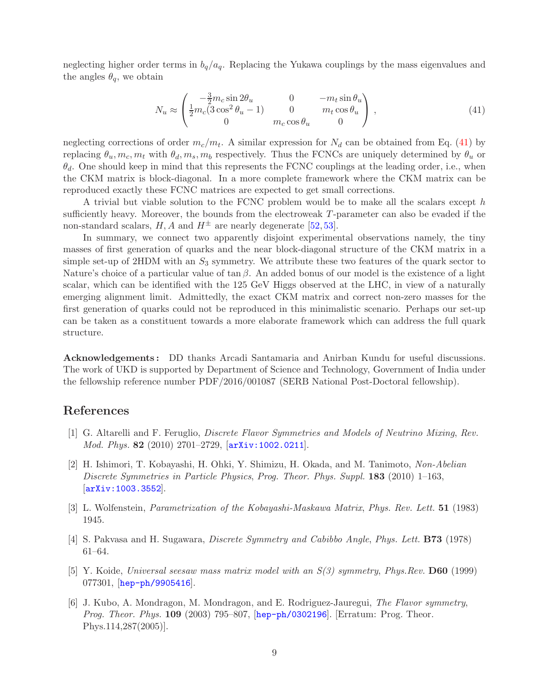neglecting higher order terms in  $b_q/a_q$ . Replacing the Yukawa couplings by the mass eigenvalues and the angles  $\theta_q$ , we obtain

<span id="page-8-4"></span>
$$
N_u \approx \begin{pmatrix} -\frac{3}{2}m_c \sin 2\theta_u & 0 & -m_t \sin \theta_u \\ \frac{1}{2}m_c(3\cos^2 \theta_u - 1) & 0 & m_t \cos \theta_u \\ 0 & m_c \cos \theta_u & 0 \end{pmatrix},
$$
(41)

neglecting corrections of order  $m_c/m_t$ . A similar expression for  $N_d$  can be obtained from Eq. [\(41\)](#page-8-4) by replacing  $\theta_u, m_c, m_t$  with  $\theta_d, m_s, m_b$  respectively. Thus the FCNCs are uniquely determined by  $\theta_u$  or  $\theta_d$ . One should keep in mind that this represents the FCNC couplings at the leading order, i.e., when the CKM matrix is block-diagonal. In a more complete framework where the CKM matrix can be reproduced exactly these FCNC matrices are expected to get small corrections.

A trivial but viable solution to the FCNC problem would be to make all the scalars except h sufficiently heavy. Moreover, the bounds from the electroweak T-parameter can also be evaded if the non-standard scalars, H, A and  $H^{\pm}$  are nearly degenerate [\[52,](#page-11-4) [53\]](#page-11-5).

In summary, we connect two apparently disjoint experimental observations namely, the tiny masses of first generation of quarks and the near block-diagonal structure of the CKM matrix in a simple set-up of 2HDM with an  $S_3$  symmetry. We attribute these two features of the quark sector to Nature's choice of a particular value of  $\tan \beta$ . An added bonus of our model is the existence of a light scalar, which can be identified with the 125 GeV Higgs observed at the LHC, in view of a naturally emerging alignment limit. Admittedly, the exact CKM matrix and correct non-zero masses for the first generation of quarks could not be reproduced in this minimalistic scenario. Perhaps our set-up can be taken as a constituent towards a more elaborate framework which can address the full quark structure.

Acknowledgements : DD thanks Arcadi Santamaria and Anirban Kundu for useful discussions. The work of UKD is supported by Department of Science and Technology, Government of India under the fellowship reference number PDF/2016/001087 (SERB National Post-Doctoral fellowship).

## <span id="page-8-0"></span>References

- <span id="page-8-1"></span>[1] G. Altarelli and F. Feruglio, *Discrete Flavor Symmetries and Models of Neutrino Mixing*, *Rev. Mod. Phys.* 82 (2010) 2701–2729, [[arXiv:1002.0211](http://arxiv.org/abs/1002.0211)].
- [2] H. Ishimori, T. Kobayashi, H. Ohki, Y. Shimizu, H. Okada, and M. Tanimoto, *Non-Abelian Discrete Symmetries in Particle Physics*, *Prog. Theor. Phys. Suppl.* 183 (2010) 1–163, [[arXiv:1003.3552](http://arxiv.org/abs/1003.3552)].
- <span id="page-8-3"></span><span id="page-8-2"></span>[3] L. Wolfenstein, *Parametrization of the Kobayashi-Maskawa Matrix*, *Phys. Rev. Lett.* 51 (1983) 1945.
- [4] S. Pakvasa and H. Sugawara, *Discrete Symmetry and Cabibbo Angle*, *Phys. Lett.* B73 (1978) 61–64.
- [5] Y. Koide, *Universal seesaw mass matrix model with an S(3) symmetry*, *Phys.Rev.* D60 (1999)  $077301,$  [[hep-ph/9905416](http://arxiv.org/abs/hep-ph/9905416)].
- [6] J. Kubo, A. Mondragon, M. Mondragon, and E. Rodriguez-Jauregui, *The Flavor symmetry*, *Prog. Theor. Phys.* 109 (2003) 795–807, [[hep-ph/0302196](http://arxiv.org/abs/hep-ph/0302196)]. [Erratum: Prog. Theor. Phys.114,287(2005)].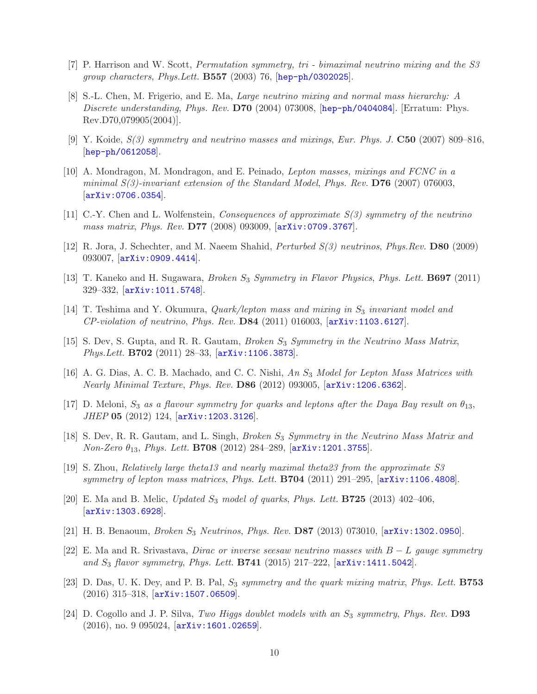- [7] P. Harrison and W. Scott, *Permutation symmetry, tri bimaximal neutrino mixing and the S3 group characters*, *Phys.Lett.* B557 (2003) 76, [[hep-ph/0302025](http://arxiv.org/abs/hep-ph/0302025)].
- [8] S.-L. Chen, M. Frigerio, and E. Ma, *Large neutrino mixing and normal mass hierarchy: A Discrete understanding*, *Phys. Rev.* D70 (2004) 073008, [[hep-ph/0404084](http://arxiv.org/abs/hep-ph/0404084)]. [Erratum: Phys. Rev.D70,079905(2004)].
- [9] Y. Koide, *S(3) symmetry and neutrino masses and mixings*, *Eur. Phys. J.* C50 (2007) 809–816, [[hep-ph/0612058](http://arxiv.org/abs/hep-ph/0612058)].
- [10] A. Mondragon, M. Mondragon, and E. Peinado, *Lepton masses, mixings and FCNC in a minimal S(3)-invariant extension of the Standard Model*, *Phys. Rev.* D76 (2007) 076003,  $[arXiv:0706.0354]$  $[arXiv:0706.0354]$  $[arXiv:0706.0354]$ .
- [11] C.-Y. Chen and L. Wolfenstein, *Consequences of approximate S(3) symmetry of the neutrino mass matrix*, *Phys. Rev.* D77 (2008) 093009, [[arXiv:0709.3767](http://arxiv.org/abs/0709.3767)].
- [12] R. Jora, J. Schechter, and M. Naeem Shahid, *Perturbed S(3) neutrinos*, *Phys.Rev.* D80 (2009) 093007, [[arXiv:0909.4414](http://arxiv.org/abs/0909.4414)].
- [13] T. Kaneko and H. Sugawara, *Broken* S<sup>3</sup> *Symmetry in Flavor Physics*, *Phys. Lett.* B697 (2011) 329–332, [[arXiv:1011.5748](http://arxiv.org/abs/1011.5748)].
- [14] T. Teshima and Y. Okumura, *Quark/lepton mass and mixing in*  $S_3$  *invariant model and CP-violation of neutrino*, *Phys. Rev.* D84 (2011) 016003, [[arXiv:1103.6127](http://arxiv.org/abs/1103.6127)].
- [15] S. Dev, S. Gupta, and R. R. Gautam, *Broken* S<sup>3</sup> *Symmetry in the Neutrino Mass Matrix*, *Phys.Lett.* B702 (2011) 28–33, [[arXiv:1106.3873](http://arxiv.org/abs/1106.3873)].
- [16] A. G. Dias, A. C. B. Machado, and C. C. Nishi, *An* S<sup>3</sup> *Model for Lepton Mass Matrices with Nearly Minimal Texture*, *Phys. Rev.* D86 (2012) 093005, [[arXiv:1206.6362](http://arxiv.org/abs/1206.6362)].
- [17] D. Meloni,  $S_3$  *as a flavour symmetry for quarks and leptons after the Daya Bay result on*  $\theta_{13}$ , *JHEP* 05 (2012) 124, [[arXiv:1203.3126](http://arxiv.org/abs/1203.3126)].
- [18] S. Dev, R. R. Gautam, and L. Singh, *Broken* S<sub>3</sub> Symmetry in the Neutrino Mass Matrix and *Non-Zero* θ13, *Phys. Lett.* B708 (2012) 284–289, [[arXiv:1201.3755](http://arxiv.org/abs/1201.3755)].
- [19] S. Zhou, *Relatively large theta13 and nearly maximal theta23 from the approximate S3 symmetry of lepton mass matrices*, *Phys. Lett.* B704 (2011) 291–295, [[arXiv:1106.4808](http://arxiv.org/abs/1106.4808)].
- [20] E. Ma and B. Melic, *Updated* S<sup>3</sup> *model of quarks*, *Phys. Lett.* B725 (2013) 402–406, [[arXiv:1303.6928](http://arxiv.org/abs/1303.6928)].
- [21] H. B. Benaoum, *Broken* S<sup>3</sup> *Neutrinos*, *Phys. Rev.* D87 (2013) 073010, [[arXiv:1302.0950](http://arxiv.org/abs/1302.0950)].
- [22] E. Ma and R. Srivastava, *Dirac or inverse seesaw neutrino masses with* B − L *gauge symmetry and* S<sup>3</sup> *flavor symmetry*, *Phys. Lett.* B741 (2015) 217–222, [[arXiv:1411.5042](http://arxiv.org/abs/1411.5042)].
- [23] D. Das, U. K. Dey, and P. B. Pal, S<sup>3</sup> *symmetry and the quark mixing matrix*, *Phys. Lett.* B753  $(2016)$  315–318,  $\left[$ [arXiv:1507.06509](http://arxiv.org/abs/1507.06509) $\right]$ .
- <span id="page-9-0"></span>[24] D. Cogollo and J. P. Silva, *Two Higgs doublet models with an*  $S_3$  *symmetry*, *Phys. Rev.* **D93** (2016), no. 9 095024, [[arXiv:1601.02659](http://arxiv.org/abs/1601.02659)].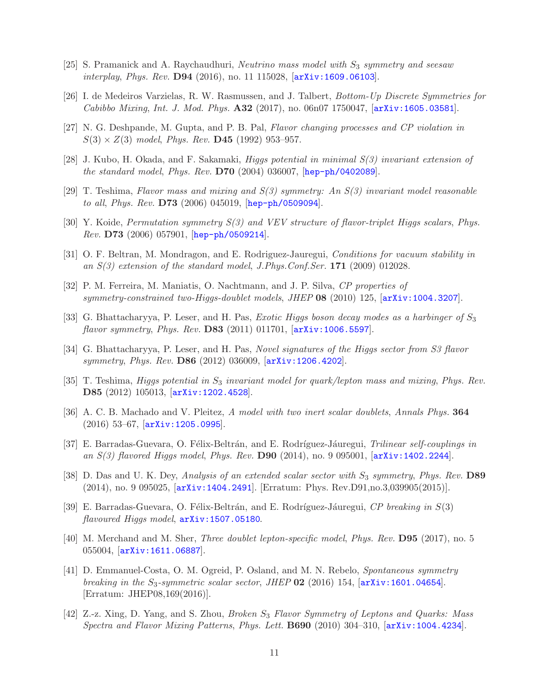- <span id="page-10-0"></span>[25] S. Pramanick and A. Raychaudhuri, *Neutrino mass model with*  $S_3$  *symmetry and seesaw interplay*, *Phys. Rev.* D94 (2016), no. 11 115028, [[arXiv:1609.06103](http://arxiv.org/abs/1609.06103)].
- <span id="page-10-1"></span>[26] I. de Medeiros Varzielas, R. W. Rasmussen, and J. Talbert, *Bottom-Up Discrete Symmetries for Cabibbo Mixing*, *Int. J. Mod. Phys.* A32 (2017), no. 06n07 1750047, [[arXiv:1605.03581](http://arxiv.org/abs/1605.03581)].
- [27] N. G. Deshpande, M. Gupta, and P. B. Pal, *Flavor changing processes and CP violation in*  $S(3) \times Z(3)$  model, *Phys. Rev.* **D45** (1992) 953-957.
- [28] J. Kubo, H. Okada, and F. Sakamaki, *Higgs potential in minimal S(3) invariant extension of the standard model*, *Phys. Rev.* D70 (2004) 036007, [[hep-ph/0402089](http://arxiv.org/abs/hep-ph/0402089)].
- [29] T. Teshima, *Flavor mass and mixing and S(3) symmetry: An S(3) invariant model reasonable to all*, *Phys. Rev.* D73 (2006) 045019, [[hep-ph/0509094](http://arxiv.org/abs/hep-ph/0509094)].
- [30] Y. Koide, *Permutation symmetry S(3) and VEV structure of flavor-triplet Higgs scalars*, *Phys. Rev.* D73 (2006) 057901, [[hep-ph/0509214](http://arxiv.org/abs/hep-ph/0509214)].
- <span id="page-10-4"></span>[31] O. F. Beltran, M. Mondragon, and E. Rodriguez-Jauregui, *Conditions for vacuum stability in an S(3) extension of the standard model*, *J.Phys.Conf.Ser.* 171 (2009) 012028.
- [32] P. M. Ferreira, M. Maniatis, O. Nachtmann, and J. P. Silva, *CP properties of symmetry-constrained two-Higgs-doublet models*, *JHEP* 08 (2010) 125, [[arXiv:1004.3207](http://arxiv.org/abs/1004.3207)].
- [33] G. Bhattacharyya, P. Leser, and H. Pas, *Exotic Higgs boson decay modes as a harbinger of* S<sup>3</sup> *flavor symmetry*, *Phys. Rev.* D83 (2011) 011701, [[arXiv:1006.5597](http://arxiv.org/abs/1006.5597)].
- [34] G. Bhattacharyya, P. Leser, and H. Pas, *Novel signatures of the Higgs sector from S3 flavor symmetry*, *Phys. Rev.* D86 (2012) 036009, [[arXiv:1206.4202](http://arxiv.org/abs/1206.4202)].
- [35] T. Teshima, *Higgs potential in* S<sup>3</sup> *invariant model for quark/lepton mass and mixing*, *Phys. Rev.* D85 (2012) 105013, [[arXiv:1202.4528](http://arxiv.org/abs/1202.4528)].
- [36] A. C. B. Machado and V. Pleitez, *A model with two inert scalar doublets*, *Annals Phys.* 364 (2016) 53–67, [[arXiv:1205.0995](http://arxiv.org/abs/1205.0995)].
- [37] E. Barradas-Guevara, O. F´elix-Beltr´an, and E. Rodr´ıguez-J´auregui, *Trilinear self-couplings in an S(3) flavored Higgs model*, *Phys. Rev.* D90 (2014), no. 9 095001, [[arXiv:1402.2244](http://arxiv.org/abs/1402.2244)].
- <span id="page-10-5"></span>[38] D. Das and U. K. Dey, *Analysis of an extended scalar sector with*  $S_3$  *symmetry*, *Phys. Rev.* **D89** (2014), no. 9 095025, [[arXiv:1404.2491](http://arxiv.org/abs/1404.2491)]. [Erratum: Phys. Rev.D91,no.3,039905(2015)].
- [39] E. Barradas-Guevara, O. Félix-Beltrán, and E. Rodríguez-Jáuregui, *CP breaking in* S(3) *flavoured Higgs model*, [arXiv:1507.05180](http://arxiv.org/abs/1507.05180).
- [40] M. Merchand and M. Sher, *Three doublet lepton-specific model*, *Phys. Rev.* D95 (2017), no. 5 055004, [[arXiv:1611.06887](http://arxiv.org/abs/1611.06887)].
- <span id="page-10-2"></span>[41] D. Emmanuel-Costa, O. M. Ogreid, P. Osland, and M. N. Rebelo, *Spontaneous symmetry breaking in the* S3*-symmetric scalar sector*, *JHEP* 02 (2016) 154, [[arXiv:1601.04654](http://arxiv.org/abs/1601.04654)]. [Erratum: JHEP08,169(2016)].
- <span id="page-10-3"></span>[42] Z.-z. Xing, D. Yang, and S. Zhou, *Broken* S<sup>3</sup> *Flavor Symmetry of Leptons and Quarks: Mass Spectra and Flavor Mixing Patterns*, *Phys. Lett.* B690 (2010) 304–310, [[arXiv:1004.4234](http://arxiv.org/abs/1004.4234)].